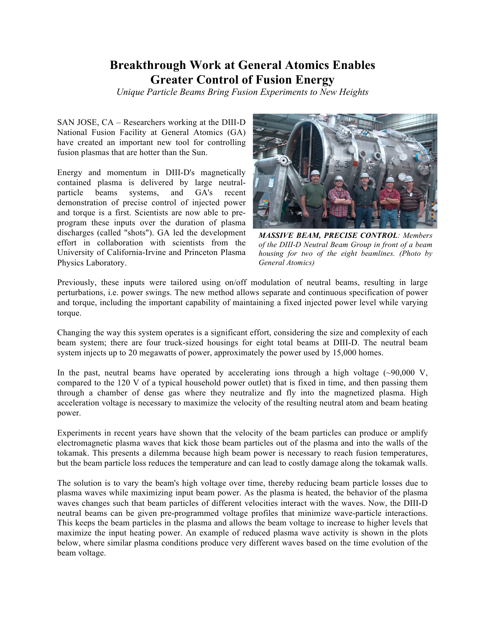## **Breakthrough Work at General Atomics Enables Greater Control of Fusion Energy**

*Unique Particle Beams Bring Fusion Experiments to New Heights*

SAN JOSE, CA – Researchers working at the DIII-D National Fusion Facility at General Atomics (GA) have created an important new tool for controlling fusion plasmas that are hotter than the Sun.

Energy and momentum in DIII-D's magnetically contained plasma is delivered by large neutralparticle beams systems, and GA's recent demonstration of precise control of injected power and torque is a first. Scientists are now able to preprogram these inputs over the duration of plasma discharges (called "shots"). GA led the development effort in collaboration with scientists from the University of California-Irvine and Princeton Plasma Physics Laboratory.



*MASSIVE BEAM, PRECISE CONTROL: Members of the DIII-D Neutral Beam Group in front of a beam housing for two of the eight beamlines. (Photo by General Atomics)*

Previously, these inputs were tailored using on/off modulation of neutral beams, resulting in large perturbations, i.e. power swings. The new method allows separate and continuous specification of power and torque, including the important capability of maintaining a fixed injected power level while varying torque.

Changing the way this system operates is a significant effort, considering the size and complexity of each beam system; there are four truck-sized housings for eight total beams at DIII-D. The neutral beam system injects up to 20 megawatts of power, approximately the power used by 15,000 homes.

In the past, neutral beams have operated by accelerating ions through a high voltage  $(\sim 90,000 \text{ V})$ , compared to the 120 V of a typical household power outlet) that is fixed in time, and then passing them through a chamber of dense gas where they neutralize and fly into the magnetized plasma. High acceleration voltage is necessary to maximize the velocity of the resulting neutral atom and beam heating power.

Experiments in recent years have shown that the velocity of the beam particles can produce or amplify electromagnetic plasma waves that kick those beam particles out of the plasma and into the walls of the tokamak. This presents a dilemma because high beam power is necessary to reach fusion temperatures, but the beam particle loss reduces the temperature and can lead to costly damage along the tokamak walls.

The solution is to vary the beam's high voltage over time, thereby reducing beam particle losses due to plasma waves while maximizing input beam power. As the plasma is heated, the behavior of the plasma waves changes such that beam particles of different velocities interact with the waves. Now, the DIII-D neutral beams can be given pre-programmed voltage profiles that minimize wave-particle interactions. This keeps the beam particles in the plasma and allows the beam voltage to increase to higher levels that maximize the input heating power. An example of reduced plasma wave activity is shown in the plots below, where similar plasma conditions produce very different waves based on the time evolution of the beam voltage.